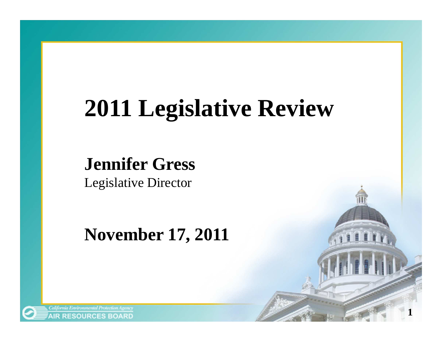## **2011 Legislative Review**

**1**

#### **Jennifer Gress**

Legislative Director

#### **November 17, 2011**

**AIR RESOURCES BOARD**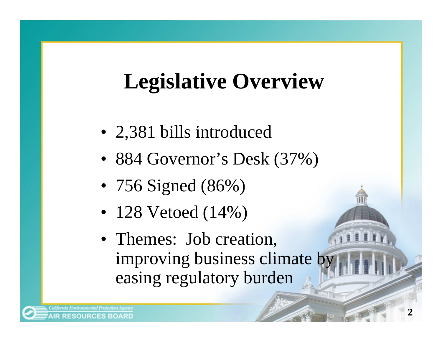### **Legislative Overview**

- 2,381 bills introduced
- 884 Governor's Desk (37%)
- 756 Signed (86%)
- 128 Vetoed (14%)
- Themes: Job creation, improving business climate by easing regulatory burden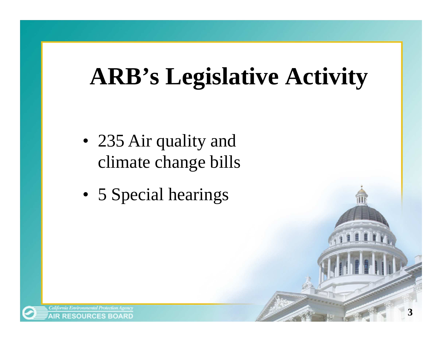## **ARB's Legislative Activity**

- 235 Air quality and climate change bills
- 5 Special hearings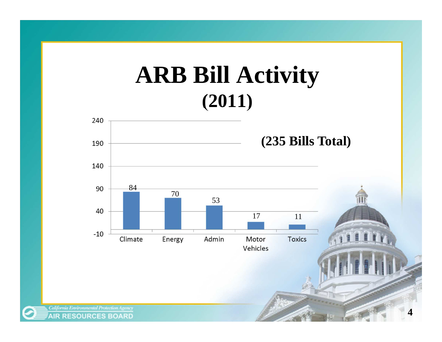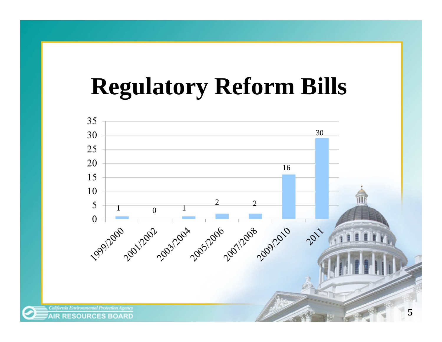## **Regulatory Reform Bills**



**AIR RESOURCES BOARD**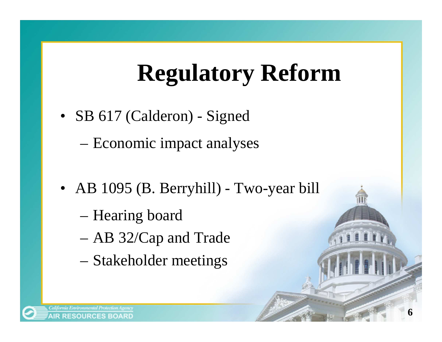## **Regulatory Reform**

• SB 617 (Calderon) - Signed

–Economic impact analyses

- AB 1095 (B. Berryhill) Two-year bill
	- –Hearing board
	- –AB 32/Cap and Trade
	- –Stakeholder meetings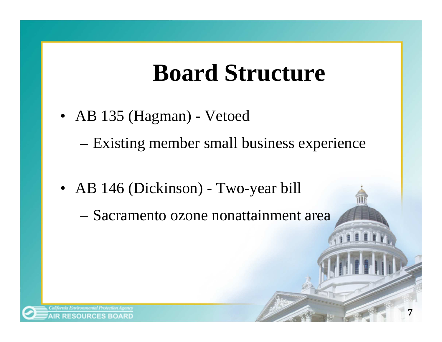## **Board Structure**

• AB 135 (Hagman) - Vetoed

–Existing member small business experience

• AB 146 (Dickinson) - Two-year bill

–Sacramento ozone nonattainment area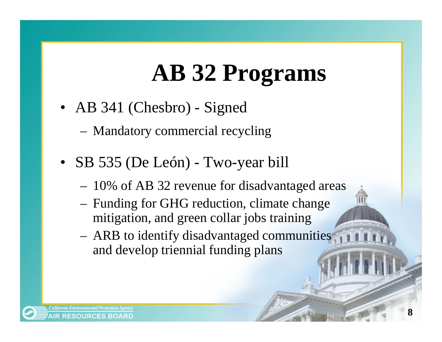## **AB 32 Programs**

- AB 341 (Chesbro) Signed
	- Mandatory commercial recycling
- SB 535 (De León) Two-year bill
	- 10% of AB 32 revenue for disadvantaged areas
	- Funding for GHG reduction, climate change mitigation, and green collar jobs training
	- ARB to identify disadvantaged communities and develop triennial funding plans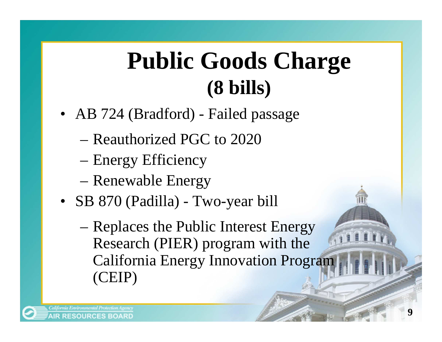## **Public Goods Charge(8 bills)**

- AB 724 (Bradford) Failed passage
	- –Reauthorized PGC to 2020
	- –Energy Efficiency
	- –Renewable Energy
- SB 870 (Padilla) Two-year bill
	- – Replaces the Public Interest Energy Research (PIER) program with the California Energy Innovation Program (CEIP)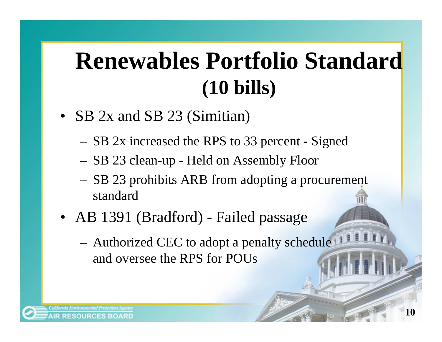## **Renewables Portfolio Standard (10 bills)**

- SB 2x and SB 23 (Simitian)
	- SB 2x increased the RPS to 33 percent Signed
	- SB 23 clean-up Held on Assembly Floor
	- SB 23 prohibits ARB from adopting a procurement standard
- AB 1391 (Bradford) Failed passage
	- Authorized CEC to adopt a penalty schedule and oversee the RPS for POUs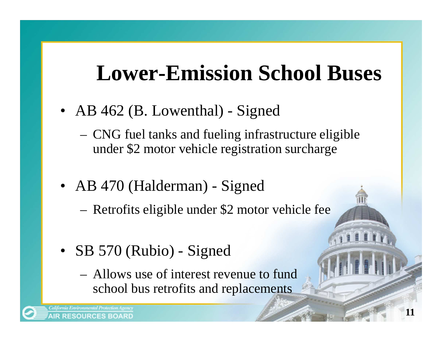#### **Lower-Emission School Buses**

- AB 462 (B. Lowenthal) Signed
	- CNG fuel tanks and fueling infrastructure eligible under \$2 motor vehicle registration surcharge
- AB 470 (Halderman) Signed
	- Retrofits eligible under \$2 motor vehicle fee
- SB 570 (Rubio) Signed
	- Allows use of interest revenue to fund school bus retrofits and replacements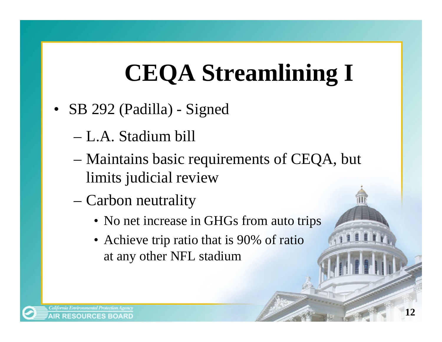# **CEQA Streamlining I**

- SB 292 (Padilla) Signed
	- –L.A. Stadium bill
	- Maintains basic requirements of CEQA, but limits judicial review
	- – Carbon neutrality
		- No net increase in GHGs from auto trips
		- Achieve trip ratio that is 90% of ratio at any other NFL stadium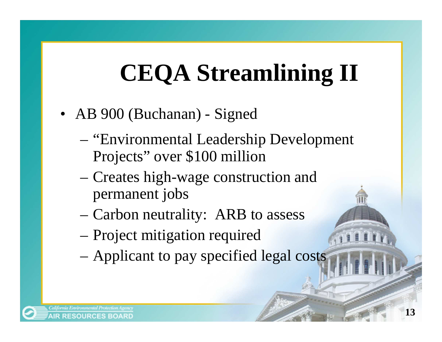# **CEQA Streamlining II**

- AB 900 (Buchanan) Signed
	- – "Environmental Leadership Development Projects" over \$100 million
	- – Creates high-wage construction and permanent jobs
	- –Carbon neutrality: ARB to assess
	- –Project mitigation required
	- –Applicant to pay specified legal costs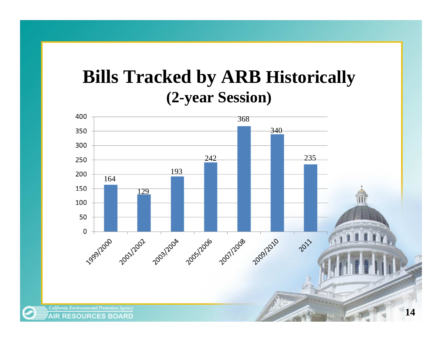#### **Bills Tracked by ARB Historically (2-year Session)**

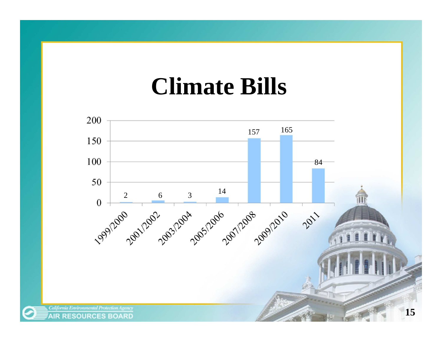#### **Climate Bills**

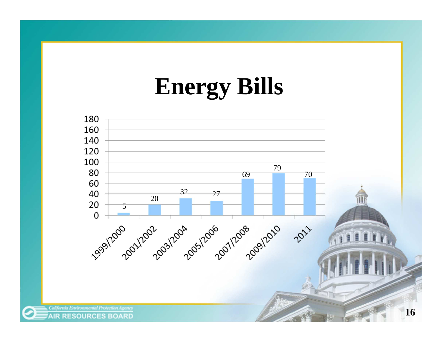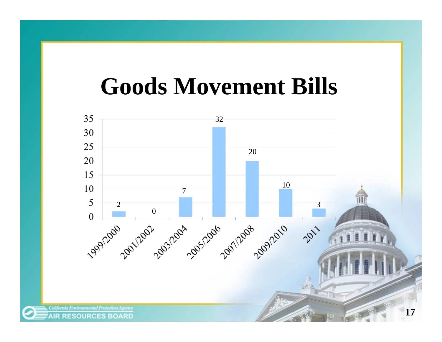### **Goods Movement Bills**

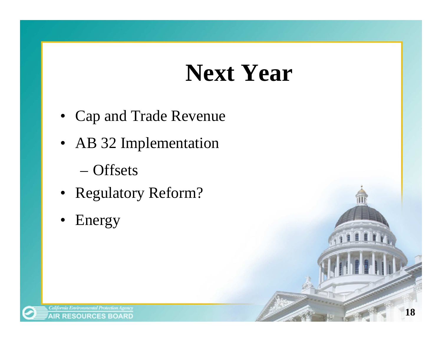## **Next Year**

- Cap and Trade Revenue
- AB 32 Implementation
	- –**Offsets**
- Regulatory Reform?
- $\bullet$ Energy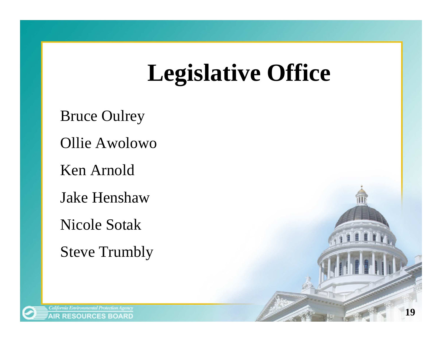## **Legislative Office**

Bruce Oulrey

Ollie Awolowo

Ken Arnold

Jake Henshaw

Nicole Sotak

Steve Trumbly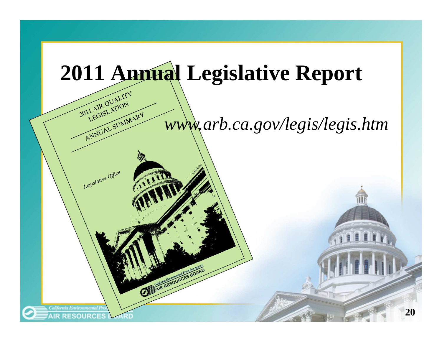